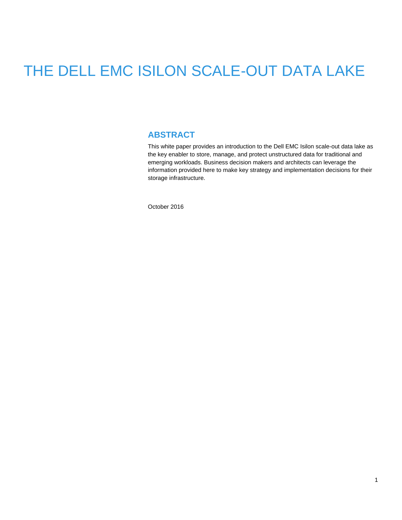# THE DELL EMC ISILON SCALE-OUT DATA LAKE

### **ABSTRACT**

This white paper provides an introduction to the Dell EMC Isilon scale-out data lake as the key enabler to store, manage, and protect unstructured data for traditional and emerging workloads. Business decision makers and architects can leverage the information provided here to make key strategy and implementation decisions for their storage infrastructure.

October 2016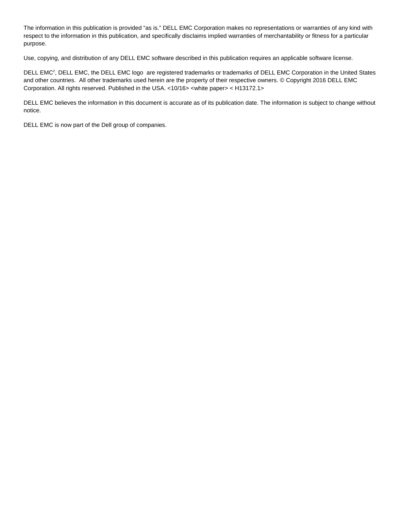The information in this publication is provided "as is." DELL EMC Corporation makes no representations or warranties of any kind with respect to the information in this publication, and specifically disclaims implied warranties of merchantability or fitness for a particular purpose.

Use, copying, and distribution of any DELL EMC software described in this publication requires an applicable software license.

DELL EMC<sup>2</sup>, DELL EMC, the DELL EMC logo are registered trademarks or trademarks of DELL EMC Corporation in the United States and other countries. All other trademarks used herein are the property of their respective owners. © Copyright 2016 DELL EMC Corporation. All rights reserved. Published in the USA. <10/16> <white paper> < H13172.1>

DELL EMC believes the information in this document is accurate as of its publication date. The information is subject to change without notice.

DELL EMC is now part of the Dell group of companies.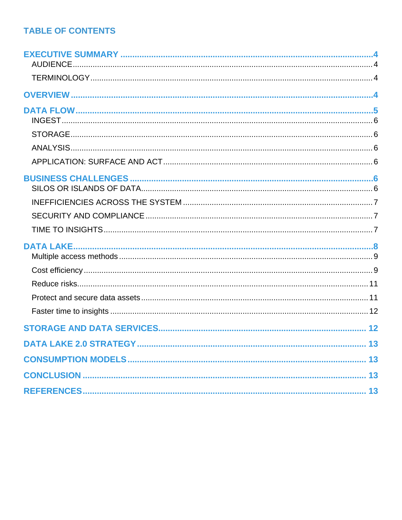# **TABLE OF CONTENTS**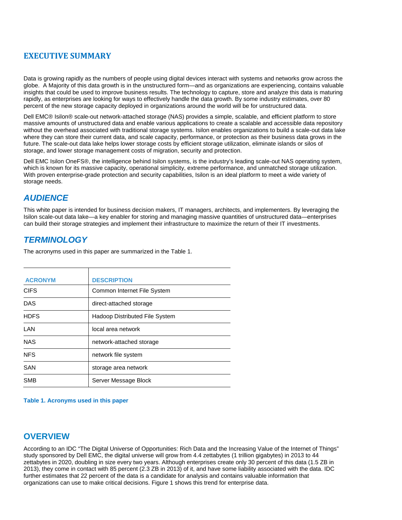# <span id="page-3-0"></span>**EXECUTIVE SUMMARY**

Data is growing rapidly as the numbers of people using digital devices interact with systems and networks grow across the globe. A Majority of this data growth is in the unstructured form—and as organizations are experiencing, contains valuable insights that could be used to improve business results. The technology to capture, store and analyze this data is maturing rapidly, as enterprises are looking for ways to effectively handle the data growth. By some industry estimates, over 80 percent of the new storage capacity deployed in organizations around the world will be for unstructured data.

Dell EMC® Isilon® scale-out network-attached storage (NAS) provides a simple, scalable, and efficient platform to store massive amounts of unstructured data and enable various applications to create a scalable and accessible data repository without the overhead associated with traditional storage systems. Isilon enables organizations to build a scale-out data lake where they can store their current data, and scale capacity, performance, or protection as their business data grows in the future. The scale-out data lake helps lower storage costs by efficient storage utilization, eliminate islands or silos of storage, and lower storage management costs of migration, security and protection.

Dell EMC Isilon OneFS®, the intelligence behind Isilon systems, is the industry's leading scale-out NAS operating system, which is known for its massive capacity, operational simplicity, extreme performance, and unmatched storage utilization. With proven enterprise-grade protection and security capabilities, Isilon is an ideal platform to meet a wide variety of storage needs.

# <span id="page-3-1"></span>*AUDIENCE*

This white paper is intended for business decision makers, IT managers, architects, and implementers. By leveraging the Isilon scale-out data lake—a key enabler for storing and managing massive quantities of unstructured data—enterprises can build their storage strategies and implement their infrastructure to maximize the return of their IT investments.

# <span id="page-3-2"></span>*TERMINOLOGY*

The acronyms used in this paper are summarized in the Table 1.

| <b>ACRONYM</b> | <b>DESCRIPTION</b>                    |
|----------------|---------------------------------------|
| <b>CIFS</b>    | Common Internet File System           |
| <b>DAS</b>     | direct-attached storage               |
| <b>HDFS</b>    | <b>Hadoop Distributed File System</b> |
| LAN            | local area network                    |
| <b>NAS</b>     | network-attached storage              |
| <b>NFS</b>     | network file system                   |
| SAN            | storage area network                  |
| <b>SMB</b>     | Server Message Block                  |

**Table 1. Acronyms used in this paper**

# <span id="page-3-3"></span>**OVERVIEW**

According to an IDC "The Digital Universe of Opportunities: Rich Data and the Increasing Value of the Internet of Things" study sponsored by Dell EMC, the digital universe will grow from 4.4 zettabytes (1 trillion gigabytes) in 2013 to 44 zettabytes in 2020, doubling in size every two years. Although enterprises create only 30 percent of this data (1.5 ZB in 2013), they come in contact with 85 percent (2.3 ZB in 2013) of it, and have some liability associated with the data. IDC further estimates that 22 percent of the data is a candidate for analysis and contains valuable information that organizations can use to make critical decisions. Figure 1 shows this trend for enterprise data.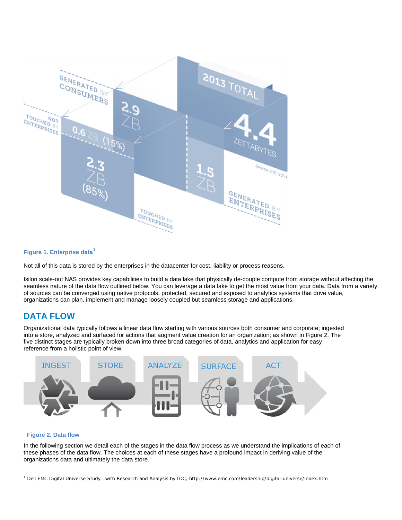

#### **Figure 1. Enterprise data[1](#page-4-1)**

Not all of this data is stored by the enterprises in the datacenter for cost, liability or process reasons.

Isilon scale-out NAS provides key capabilities to build a data lake that physically de-couple compute from storage without affecting the seamless nature of the data flow outlined below. You can leverage a data lake to get the most value from your data. Data from a variety of sources can be converged using native protocols, protected, secured and exposed to analytics systems that drive value, organizations can plan, implement and manage loosely coupled but seamless storage and applications.

## <span id="page-4-0"></span>**DATA FLOW**

Organizational data typically follows a linear data flow starting with various sources both consumer and corporate; ingested into a store, analyzed and surfaced for actions that augment value creation for an organization; as shown in Figure 2. The five distinct stages are typically broken down into three broad categories of data, analytics and application for easy reference from a holistic point of view.



#### **Figure 2. Data flow**

In the following section we detail each of the stages in the data flow process as we understand the implications of each of these phases of the data flow. The choices at each of these stages have a profound impact in deriving value of the organizations data and ultimately the data store.

<span id="page-4-1"></span> $\overline{a}$ <sup>1</sup> Dell EMC Digital Universe Study—with Research and Analysis by IDC, http://www.emc.com/leadership/digital-universe/index.htm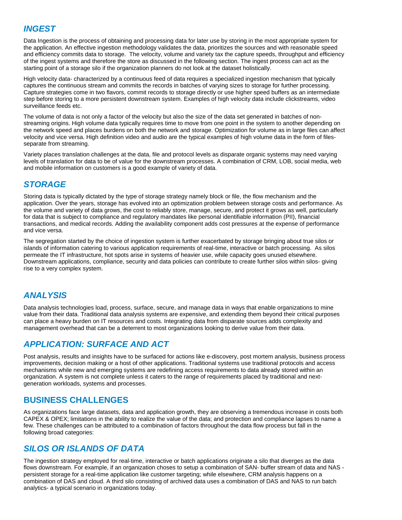# <span id="page-5-0"></span>*INGEST*

Data Ingestion is the process of obtaining and processing data for later use by storing in the most appropriate system for the application. An effective ingestion methodology validates the data, prioritizes the sources and with reasonable speed and efficiency commits data to storage. The velocity, volume and variety tax the capture speeds, throughput and efficiency of the ingest systems and therefore the store as discussed in the following section. The ingest process can act as the starting point of a storage silo if the organization planners do not look at the dataset holistically.

High velocity data- characterized by a continuous feed of data requires a specialized ingestion mechanism that typically captures the continuous stream and commits the records in batches of varying sizes to storage for further processing. Capture strategies come in two flavors, commit records to storage directly or use higher speed buffers as an intermediate step before storing to a more persistent downstream system. Examples of high velocity data include clickstreams, video surveillance feeds etc.

The volume of data is not only a factor of the velocity but also the size of the data set generated in batches of nonstreaming origins. High volume data typically requires time to move from one point in the system to another depending on the network speed and places burdens on both the network and storage. Optimization for volume as in large files can affect velocity and vice versa. High definition video and audio are the typical examples of high volume data in the form of filesseparate from streaming.

Variety places translation challenges at the data, file and protocol levels as disparate organic systems may need varying levels of translation for data to be of value for the downstream processes. A combination of CRM, LOB, social media, web and mobile information on customers is a good example of variety of data.

# <span id="page-5-1"></span>*STORAGE*

Storing data is typically dictated by the type of storage strategy namely block or file, the flow mechanism and the application. Over the years, storage has evolved into an optimization problem between storage costs and performance. As the volume and variety of data grows, the cost to reliably store, manage, secure, and protect it grows as well, particularly for data that is subject to compliance and regulatory mandates like personal identifiable information (PII), financial transactions, and medical records. Adding the availability component adds cost pressures at the expense of performance and vice versa.

The segregation started by the choice of ingestion system is further exacerbated by storage bringing about true silos or islands of information catering to various application requirements of real-time, interactive or batch processing. As silos permeate the IT infrastructure, hot spots arise in systems of heavier use, while capacity goes unused elsewhere. Downstream applications, compliance, security and data policies can contribute to create further silos within silos- giving rise to a very complex system.

# <span id="page-5-2"></span>*ANALYSIS*

Data analysis technologies load, process, surface, secure, and manage data in ways that enable organizations to mine value from their data. Traditional data analysis systems are expensive, and extending them beyond their critical purposes can place a heavy burden on IT resources and costs. Integrating data from disparate sources adds complexity and management overhead that can be a deterrent to most organizations looking to derive value from their data.

# <span id="page-5-3"></span>*APPLICATION: SURFACE AND ACT*

Post analysis, results and insights have to be surfaced for actions like e-discovery, post mortem analysis, business process improvements, decision making or a host of other applications. Traditional systems use traditional protocols and access mechanisms while new and emerging systems are redefining access requirements to data already stored within an organization. A system is not complete unless it caters to the range of requirements placed by traditional and nextgeneration workloads, systems and processes.

# <span id="page-5-4"></span>**BUSINESS CHALLENGES**

As organizations face large datasets, data and application growth, they are observing a tremendous increase in costs both CAPEX & OPEX; limitations in the ability to realize the value of the data; and protection and compliance lapses to name a few. These challenges can be attributed to a combination of factors throughout the data flow process but fall in the following broad categories:

# <span id="page-5-5"></span>*SILOS OR ISLANDS OF DATA*

The ingestion strategy employed for real-time, interactive or batch applications originate a silo that diverges as the data flows downstream. For example, if an organization choses to setup a combination of SAN- buffer stream of data and NAS persistent storage for a real-time application like customer targeting; while elsewhere, CRM analysis happens on a combination of DAS and cloud. A third silo consisting of archived data uses a combination of DAS and NAS to run batch analytics- a typical scenario in organizations today.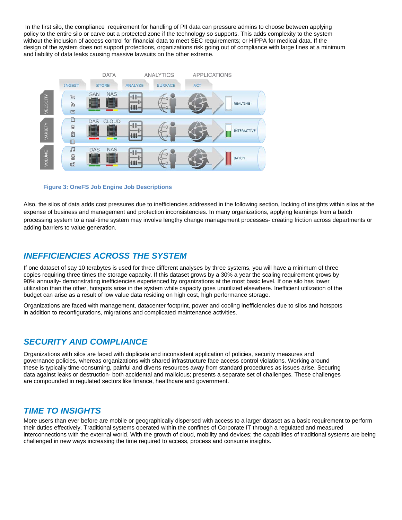In the first silo, the compliance requirement for handling of PII data can pressure admins to choose between applying policy to the entire silo or carve out a protected zone if the technology so supports. This adds complexity to the system without the inclusion of access control for financial data to meet SEC requirements; or HIPPA for medical data. If the design of the system does not support protections, organizations risk going out of compliance with large fines at a minimum and liability of data leaks causing massive lawsuits on the other extreme.



#### **Figure 3: OneFS Job Engine Job Descriptions**

Also, the silos of data adds cost pressures due to inefficiencies addressed in the following section, locking of insights within silos at the expense of business and management and protection inconsistencies. In many organizations, applying learnings from a batch processing system to a real-time system may involve lengthy change management processes- creating friction across departments or adding barriers to value generation.

### <span id="page-6-0"></span>*INEFFICIENCIES ACROSS THE SYSTEM*

If one dataset of say 10 terabytes is used for three different analyses by three systems, you will have a minimum of three copies requiring three times the storage capacity. If this dataset grows by a 30% a year the scaling requirement grows by 90% annually- demonstrating inefficiencies experienced by organizations at the most basic level. If one silo has lower utilization than the other, hotspots arise in the system while capacity goes unutilized elsewhere. Inefficient utilization of the budget can arise as a result of low value data residing on high cost, high performance storage.

Organizations are faced with management, datacenter footprint, power and cooling inefficiencies due to silos and hotspots in addition to reconfigurations, migrations and complicated maintenance activities.

#### <span id="page-6-1"></span>*SECURITY AND COMPLIANCE*

Organizations with silos are faced with duplicate and inconsistent application of policies, security measures and governance policies, whereas organizations with shared infrastructure face access control violations. Working around these is typically time-consuming, painful and diverts resources away from standard procedures as issues arise. Securing data against leaks or destruction- both accidental and malicious; presents a separate set of challenges. These challenges are compounded in regulated sectors like finance, healthcare and government.

#### <span id="page-6-2"></span>*TIME TO INSIGHTS*

More users than ever before are mobile or geographically dispersed with access to a larger dataset as a basic requirement to perform their duties effectively. Traditional systems operated within the confines of Corporate IT through a regulated and measured interconnections with the external world. With the growth of cloud, mobility and devices; the capabilities of traditional systems are being challenged in new ways increasing the time required to access, process and consume insights.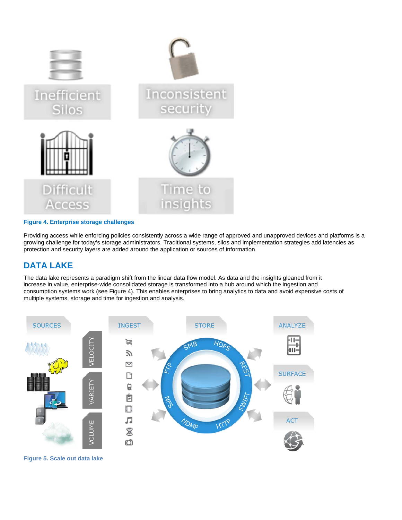

#### **Figure 4. Enterprise storage challenges**

Providing access while enforcing policies consistently across a wide range of approved and unapproved devices and platforms is a growing challenge for today's storage administrators. Traditional systems, silos and implementation strategies add latencies as protection and security layers are added around the application or sources of information.

# <span id="page-7-0"></span>**DATA LAKE**

The data lake represents a paradigm shift from the linear data flow model. As data and the insights gleaned from it increase in value, enterprise-wide consolidated storage is transformed into a hub around which the ingestion and consumption systems work (see Figure 4). This enables enterprises to bring analytics to data and avoid expensive costs of multiple systems, storage and time for ingestion and analysis.



**Figure 5. Scale out data lake**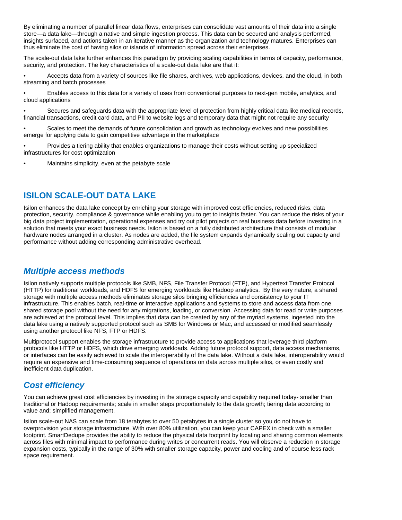By eliminating a number of parallel linear data flows, enterprises can consolidate vast amounts of their data into a single store—a data lake—through a native and simple ingestion process. This data can be secured and analysis performed, insights surfaced, and actions taken in an iterative manner as the organization and technology matures. Enterprises can thus eliminate the cost of having silos or islands of information spread across their enterprises.

The scale-out data lake further enhances this paradigm by providing scaling capabilities in terms of capacity, performance, security, and protection. The key characteristics of a scale-out data lake are that it:

• Accepts data from a variety of sources like file shares, archives, web applications, devices, and the cloud, in both streaming and batch processes

• Enables access to this data for a variety of uses from conventional purposes to next-gen mobile, analytics, and cloud applications

• Secures and safeguards data with the appropriate level of protection from highly critical data like medical records, financial transactions, credit card data, and PII to website logs and temporary data that might not require any security

• Scales to meet the demands of future consolidation and growth as technology evolves and new possibilities emerge for applying data to gain competitive advantage in the marketplace

• Provides a tiering ability that enables organizations to manage their costs without setting up specialized infrastructures for cost optimization

Maintains simplicity, even at the petabyte scale

## **ISILON SCALE-OUT DATA LAKE**

Isilon enhances the data lake concept by enriching your storage with improved cost efficiencies, reduced risks, data protection, security, compliance & governance while enabling you to get to insights faster. You can reduce the risks of your big data project implementation, operational expenses and try out pilot projects on real business data before investing in a solution that meets your exact business needs. Isilon is based on a fully distributed architecture that consists of modular hardware nodes arranged in a cluster. As nodes are added, the file system expands dynamically scaling out capacity and performance without adding corresponding administrative overhead.

#### <span id="page-8-0"></span>*Multiple access methods*

Isilon natively supports multiple protocols like SMB, NFS, File Transfer Protocol (FTP), and Hypertext Transfer Protocol (HTTP) for traditional workloads, and HDFS for emerging workloads like Hadoop analytics. By the very nature, a shared storage with multiple access methods eliminates storage silos bringing efficiencies and consistency to your IT infrastructure. This enables batch, real-time or interactive applications and systems to store and access data from one shared storage pool without the need for any migrations, loading, or conversion. Accessing data for read or write purposes are achieved at the protocol level. This implies that data can be created by any of the myriad systems, ingested into the data lake using a natively supported protocol such as SMB for Windows or Mac, and accessed or modified seamlessly using another protocol like NFS, FTP or HDFS.

Multiprotocol support enables the storage infrastructure to provide access to applications that leverage third platform protocols like HTTP or HDFS, which drive emerging workloads. Adding future protocol support, data access mechanisms, or interfaces can be easily achieved to scale the interoperability of the data lake. Without a data lake, interoperability would require an expensive and time-consuming sequence of operations on data across multiple silos, or even costly and inefficient data duplication.

## <span id="page-8-1"></span>*Cost efficiency*

You can achieve great cost efficiencies by investing in the storage capacity and capability required today- smaller than traditional or Hadoop requirements; scale in smaller steps proportionately to the data growth; tiering data according to value and; simplified management.

Isilon scale-out NAS can scale from 18 terabytes to over 50 petabytes in a single cluster so you do not have to overprovision your storage infrastructure. With over 80% utilization, you can keep your CAPEX in check with a smaller footprint. SmartDedupe provides the ability to reduce the physical data footprint by locating and sharing common elements across files with minimal impact to performance during writes or concurrent reads. You will observe a reduction in storage expansion costs, typically in the range of 30% with smaller storage capacity, power and cooling and of course less rack space requirement.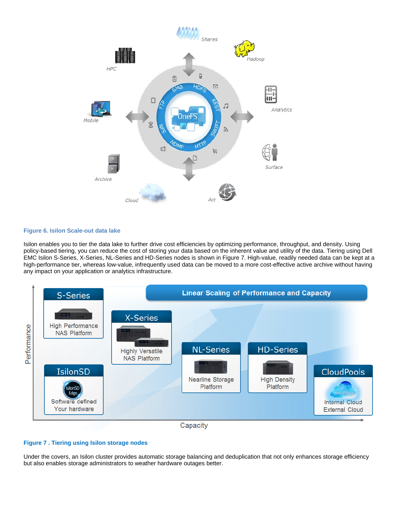

#### **Figure 6. Isilon Scale-out data lake**

Isilon enables you to tier the data lake to further drive cost efficiencies by optimizing performance, throughput, and density. Using policy-based tiering, you can reduce the cost of storing your data based on the inherent value and utility of the data. Tiering using Dell EMC Isilon S-Series, X-Series, NL-Series and HD-Series nodes is shown in Figure 7. High-value, readily needed data can be kept at a high-performance tier, whereas low-value, infrequently used data can be moved to a more cost-effective active archive without having any impact on your application or analytics infrastructure.





#### **Figure 7 . Tiering using Isilon storage nodes**

Under the covers, an Isilon cluster provides automatic storage balancing and deduplication that not only enhances storage efficiency but also enables storage administrators to weather hardware outages better.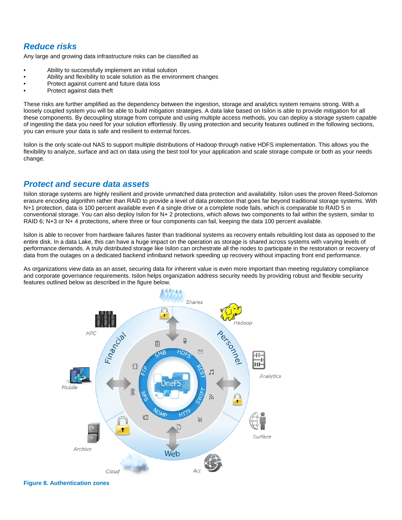# <span id="page-10-0"></span>*Reduce risks*

Any large and growing data infrastructure risks can be classified as

- Ability to successfully implement an initial solution
- Ability and flexibility to scale solution as the environment changes
- Protect against current and future data loss
- Protect against data theft

These risks are further amplified as the dependency between the ingestion, storage and analytics system remains strong. With a loosely coupled system you will be able to build mitigation strategies. A data lake based on Isilon is able to provide mitigation for all these components. By decoupling storage from compute and using multiple access methods, you can deploy a storage system capable of ingesting the data you need for your solution effortlessly. By using protection and security features outlined in the following sections, you can ensure your data is safe and resilient to external forces.

Isilon is the only scale-out NAS to support multiple distributions of Hadoop through native HDFS implementation. This allows you the flexibility to analyze, surface and act on data using the best tool for your application and scale storage compute or both as your needs change.

## <span id="page-10-1"></span>*Protect and secure data assets*

Isilon storage systems are highly resilient and provide unmatched data protection and availability. Isilon uses the proven Reed-Solomon erasure encoding algorithm rather than RAID to provide a level of data protection that goes far beyond traditional storage systems. With N+1 protection, data is 100 percent available even if a single drive or a complete node fails, which is comparable to RAID 5 in conventional storage. You can also deploy Isilon for N+ 2 protections, which allows two components to fail within the system, similar to RAID 6; N+3 or N+ 4 protections, where three or four components can fail, keeping the data 100 percent available.

Isilon is able to recover from hardware failures faster than traditional systems as recovery entails rebuilding lost data as opposed to the entire disk. In a data Lake, this can have a huge impact on the operation as storage is shared across systems with varying levels of performance demands. A truly distributed storage like Isilon can orchestrate all the nodes to participate in the restoration or recovery of data from the outages on a dedicated backend infiniband network speeding up recovery without impacting front end performance.

As organizations view data as an asset, securing data for inherent value is even more important than meeting regulatory compliance and corporate governance requirements. Isilon helps organization address security needs by providing robust and flexible security features outlined below as described in the figure below.



**Figure 8. Authentication zones**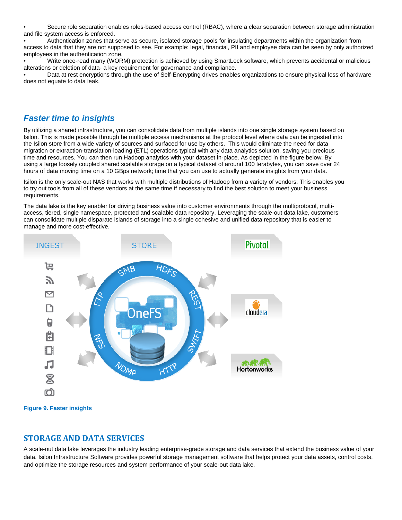• Secure role separation enables roles-based access control (RBAC), where a clear separation between storage administration and file system access is enforced.

• Authentication zones that serve as secure, isolated storage pools for insulating departments within the organization from access to data that they are not supposed to see. For example: legal, financial, PII and employee data can be seen by only authorized employees in the authentication zone.

• Write once-read many (WORM) protection is achieved by using SmartLock software, which prevents accidental or malicious alterations or deletion of data- a key requirement for governance and compliance.

• Data at rest encryptions through the use of Self-Encrypting drives enables organizations to ensure physical loss of hardware does not equate to data leak.

## <span id="page-11-0"></span>*Faster time to insights*

By utilizing a shared infrastructure, you can consolidate data from multiple islands into one single storage system based on Isilon. This is made possible through he multiple access mechanisms at the protocol level where data can be ingested into the Isilon store from a wide variety of sources and surfaced for use by others. This would eliminate the need for data migration or extraction-translation-loading (ETL) operations typical with any data analytics solution, saving you precious time and resources. You can then run Hadoop analytics with your dataset in-place. As depicted in the figure below. By using a large loosely coupled shared scalable storage on a typical dataset of around 100 terabytes, you can save over 24 hours of data moving time on a 10 GBps network; time that you can use to actually generate insights from your data.

Isilon is the only scale-out NAS that works with multiple distributions of Hadoop from a variety of vendors. This enables you to try out tools from all of these vendors at the same time if necessary to find the best solution to meet your business requirements.

The data lake is the key enabler for driving business value into customer environments through the multiprotocol, multiaccess, tiered, single namespace, protected and scalable data repository. Leveraging the scale-out data lake, customers can consolidate multiple disparate islands of storage into a single cohesive and unified data repository that is easier to manage and more cost-effective.



**Figure 9. Faster insights**

#### <span id="page-11-1"></span>**STORAGE AND DATA SERVICES**

A scale-out data lake leverages the industry leading enterprise-grade storage and data services that extend the business value of your data. Isilon Infrastructure Software provides powerful storage management software that helps protect your data assets, control costs, and optimize the storage resources and system performance of your scale-out data lake.